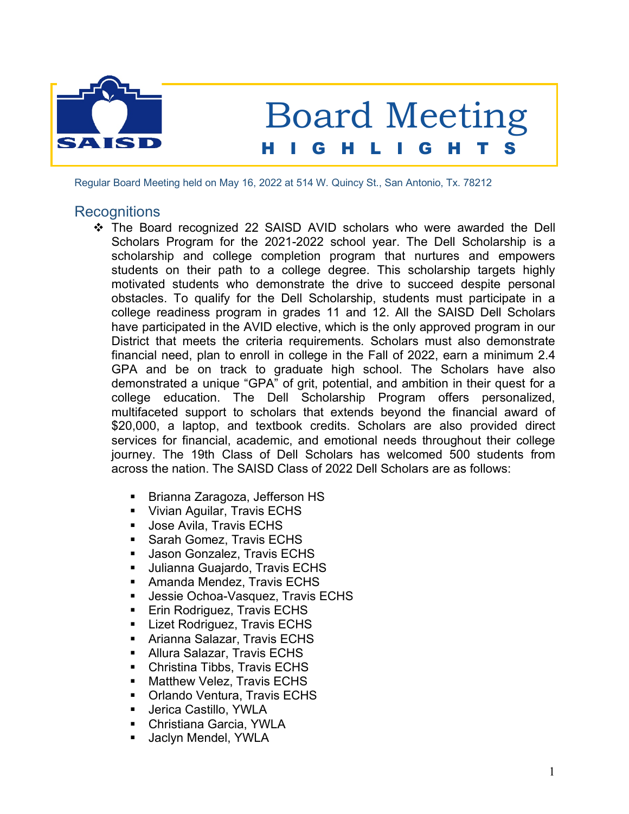

Regular Board Meeting held on May 16, 2022 at 514 W. Quincy St., San Antonio, Tx. 78212

### **Recognitions**

- \* The Board recognized 22 SAISD AVID scholars who were awarded the Dell Scholars Program for the 2021-2022 school year. The Dell Scholarship is a scholarship and college completion program that nurtures and empowers students on their path to a college degree. This scholarship targets highly motivated students who demonstrate the drive to succeed despite personal obstacles. To qualify for the Dell Scholarship, students must participate in a college readiness program in grades 11 and 12. All the SAISD Dell Scholars have participated in the AVID elective, which is the only approved program in our District that meets the criteria requirements. Scholars must also demonstrate financial need, plan to enroll in college in the Fall of 2022, earn a minimum 2.4 GPA and be on track to graduate high school. The Scholars have also demonstrated a unique "GPA" of grit, potential, and ambition in their quest for a college education. The Dell Scholarship Program offers personalized, multifaceted support to scholars that extends beyond the financial award of \$20,000, a laptop, and textbook credits. Scholars are also provided direct services for financial, academic, and emotional needs throughout their college journey. The 19th Class of Dell Scholars has welcomed 500 students from across the nation. The SAISD Class of 2022 Dell Scholars are as follows:
	- § Brianna Zaragoza, Jefferson HS
	- Vivian Aguilar, Travis ECHS
	- Jose Avila, Travis ECHS
	- Sarah Gomez, Travis ECHS
	- § Jason Gonzalez, Travis ECHS
	- § Julianna Guajardo, Travis ECHS
	- Amanda Mendez, Travis ECHS
	- Jessie Ochoa-Vasquez, Travis ECHS
	- § Erin Rodriguez, Travis ECHS
	- Lizet Rodriguez, Travis ECHS
	- Arianna Salazar, Travis ECHS
	- Allura Salazar, Travis ECHS
	- Christina Tibbs, Travis ECHS
	- Matthew Velez, Travis ECHS
	- Orlando Ventura, Travis ECHS
	- § Jerica Castillo, YWLA
	- Christiana Garcia, YWLA
	- § Jaclyn Mendel, YWLA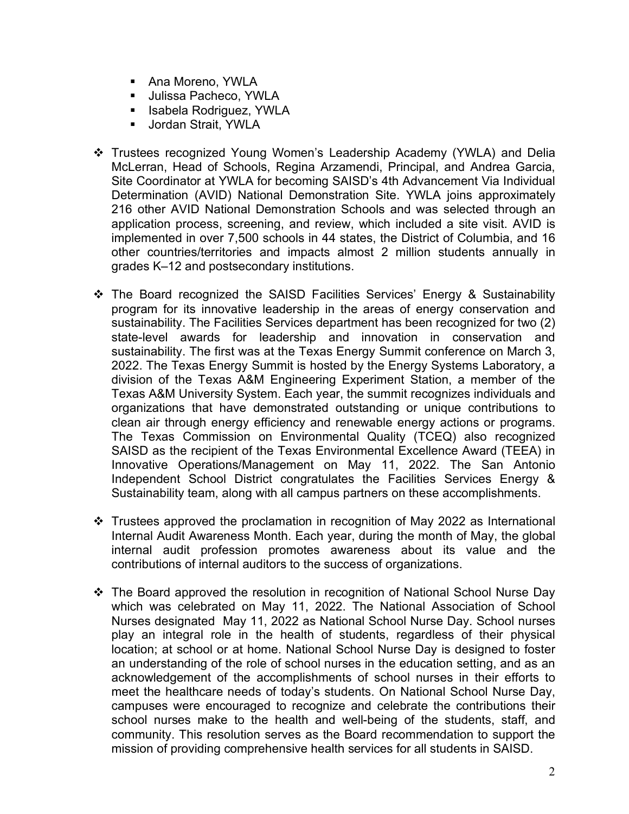- Ana Moreno, YWLA
- Julissa Pacheco, YWLA
- § Isabela Rodriguez, YWLA
- Jordan Strait, YWLA
- v Trustees recognized Young Women's Leadership Academy (YWLA) and Delia McLerran, Head of Schools, Regina Arzamendi, Principal, and Andrea Garcia, Site Coordinator at YWLA for becoming SAISD's 4th Advancement Via Individual Determination (AVID) National Demonstration Site. YWLA joins approximately 216 other AVID National Demonstration Schools and was selected through an application process, screening, and review, which included a site visit. AVID is implemented in over 7,500 schools in 44 states, the District of Columbia, and 16 other countries/territories and impacts almost 2 million students annually in grades K–12 and postsecondary institutions.
- $\div$  The Board recognized the SAISD Facilities Services' Energy & Sustainability program for its innovative leadership in the areas of energy conservation and sustainability. The Facilities Services department has been recognized for two (2) state-level awards for leadership and innovation in conservation and sustainability. The first was at the Texas Energy Summit conference on March 3, 2022. The Texas Energy Summit is hosted by the Energy Systems Laboratory, a division of the Texas A&M Engineering Experiment Station, a member of the Texas A&M University System. Each year, the summit recognizes individuals and organizations that have demonstrated outstanding or unique contributions to clean air through energy efficiency and renewable energy actions or programs. The Texas Commission on Environmental Quality (TCEQ) also recognized SAISD as the recipient of the Texas Environmental Excellence Award (TEEA) in Innovative Operations/Management on May 11, 2022. The San Antonio Independent School District congratulates the Facilities Services Energy & Sustainability team, along with all campus partners on these accomplishments.
- $\div$  Trustees approved the proclamation in recognition of May 2022 as International Internal Audit Awareness Month. Each year, during the month of May, the global internal audit profession promotes awareness about its value and the contributions of internal auditors to the success of organizations.
- v The Board approved the resolution in recognition of National School Nurse Day which was celebrated on May 11, 2022. The National Association of School Nurses designated May 11, 2022 as National School Nurse Day. School nurses play an integral role in the health of students, regardless of their physical location; at school or at home. National School Nurse Day is designed to foster an understanding of the role of school nurses in the education setting, and as an acknowledgement of the accomplishments of school nurses in their efforts to meet the healthcare needs of today's students. On National School Nurse Day, campuses were encouraged to recognize and celebrate the contributions their school nurses make to the health and well-being of the students, staff, and community. This resolution serves as the Board recommendation to support the mission of providing comprehensive health services for all students in SAISD.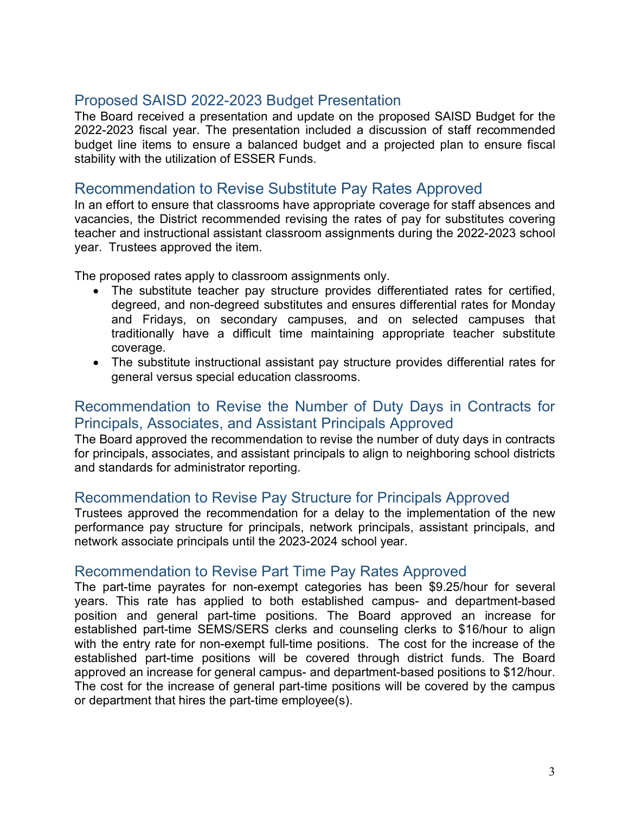## Proposed SAISD 2022-2023 Budget Presentation

The Board received a presentation and update on the proposed SAISD Budget for the 2022-2023 fiscal year. The presentation included a discussion of staff recommended budget line items to ensure a balanced budget and a projected plan to ensure fiscal stability with the utilization of ESSER Funds.

### Recommendation to Revise Substitute Pay Rates Approved

In an effort to ensure that classrooms have appropriate coverage for staff absences and vacancies, the District recommended revising the rates of pay for substitutes covering teacher and instructional assistant classroom assignments during the 2022-2023 school year. Trustees approved the item.

The proposed rates apply to classroom assignments only.

- The substitute teacher pay structure provides differentiated rates for certified, degreed, and non-degreed substitutes and ensures differential rates for Monday and Fridays, on secondary campuses, and on selected campuses that traditionally have a difficult time maintaining appropriate teacher substitute coverage.
- The substitute instructional assistant pay structure provides differential rates for general versus special education classrooms.

### Recommendation to Revise the Number of Duty Days in Contracts for Principals, Associates, and Assistant Principals Approved

The Board approved the recommendation to revise the number of duty days in contracts for principals, associates, and assistant principals to align to neighboring school districts and standards for administrator reporting.

#### Recommendation to Revise Pay Structure for Principals Approved

Trustees approved the recommendation for a delay to the implementation of the new performance pay structure for principals, network principals, assistant principals, and network associate principals until the 2023-2024 school year.

### Recommendation to Revise Part Time Pay Rates Approved

The part-time payrates for non-exempt categories has been \$9.25/hour for several years. This rate has applied to both established campus- and department-based position and general part-time positions. The Board approved an increase for established part-time SEMS/SERS clerks and counseling clerks to \$16/hour to align with the entry rate for non-exempt full-time positions. The cost for the increase of the established part-time positions will be covered through district funds. The Board approved an increase for general campus- and department-based positions to \$12/hour. The cost for the increase of general part-time positions will be covered by the campus or department that hires the part-time employee(s).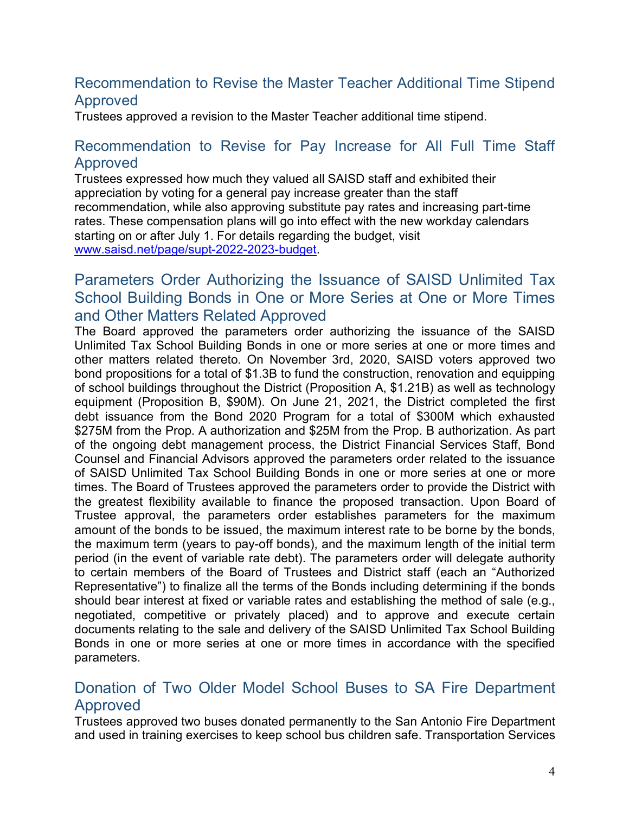## Recommendation to Revise the Master Teacher Additional Time Stipend Approved

Trustees approved a revision to the Master Teacher additional time stipend.

## Recommendation to Revise for Pay Increase for All Full Time Staff Approved

Trustees expressed how much they valued all SAISD staff and exhibited their appreciation by voting for a general pay increase greater than the staff recommendation, while also approving substitute pay rates and increasing part-time rates. These compensation plans will go into effect with the new workday calendars starting on or after July 1. For details regarding the budget, visit www.saisd.net/page/supt-2022-2023-budget.

## Parameters Order Authorizing the Issuance of SAISD Unlimited Tax School Building Bonds in One or More Series at One or More Times and Other Matters Related Approved

The Board approved the parameters order authorizing the issuance of the SAISD Unlimited Tax School Building Bonds in one or more series at one or more times and other matters related thereto. On November 3rd, 2020, SAISD voters approved two bond propositions for a total of \$1.3B to fund the construction, renovation and equipping of school buildings throughout the District (Proposition A, \$1.21B) as well as technology equipment (Proposition B, \$90M). On June 21, 2021, the District completed the first debt issuance from the Bond 2020 Program for a total of \$300M which exhausted \$275M from the Prop. A authorization and \$25M from the Prop. B authorization. As part of the ongoing debt management process, the District Financial Services Staff, Bond Counsel and Financial Advisors approved the parameters order related to the issuance of SAISD Unlimited Tax School Building Bonds in one or more series at one or more times. The Board of Trustees approved the parameters order to provide the District with the greatest flexibility available to finance the proposed transaction. Upon Board of Trustee approval, the parameters order establishes parameters for the maximum amount of the bonds to be issued, the maximum interest rate to be borne by the bonds, the maximum term (years to pay-off bonds), and the maximum length of the initial term period (in the event of variable rate debt). The parameters order will delegate authority to certain members of the Board of Trustees and District staff (each an "Authorized Representative") to finalize all the terms of the Bonds including determining if the bonds should bear interest at fixed or variable rates and establishing the method of sale (e.g., negotiated, competitive or privately placed) and to approve and execute certain documents relating to the sale and delivery of the SAISD Unlimited Tax School Building Bonds in one or more series at one or more times in accordance with the specified parameters.

# Donation of Two Older Model School Buses to SA Fire Department Approved

Trustees approved two buses donated permanently to the San Antonio Fire Department and used in training exercises to keep school bus children safe. Transportation Services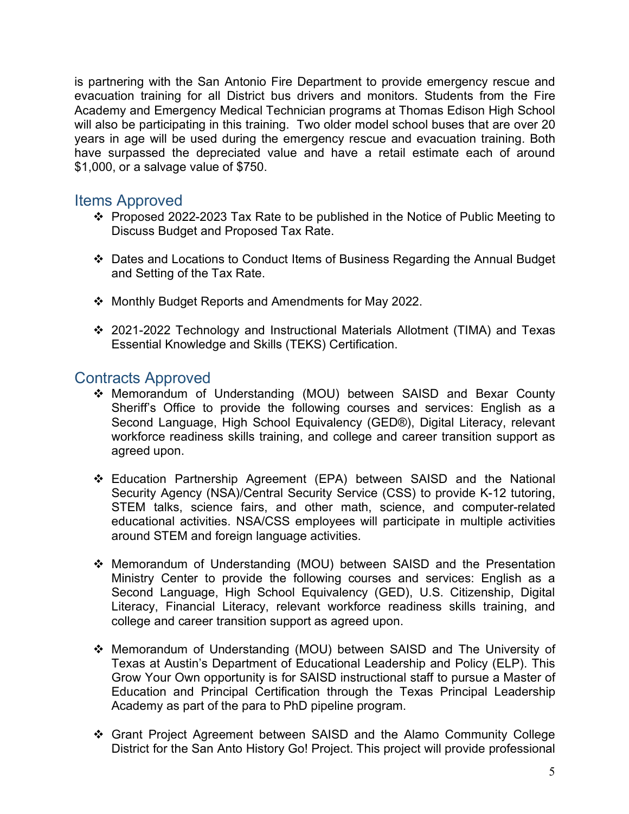is partnering with the San Antonio Fire Department to provide emergency rescue and evacuation training for all District bus drivers and monitors. Students from the Fire Academy and Emergency Medical Technician programs at Thomas Edison High School will also be participating in this training. Two older model school buses that are over 20 years in age will be used during the emergency rescue and evacuation training. Both have surpassed the depreciated value and have a retail estimate each of around \$1,000, or a salvage value of \$750.

### Items Approved

- v Proposed 2022-2023 Tax Rate to be published in the Notice of Public Meeting to Discuss Budget and Proposed Tax Rate.
- v Dates and Locations to Conduct Items of Business Regarding the Annual Budget and Setting of the Tax Rate.
- v Monthly Budget Reports and Amendments for May 2022.
- v 2021-2022 Technology and Instructional Materials Allotment (TIMA) and Texas Essential Knowledge and Skills (TEKS) Certification.

## Contracts Approved

- v Memorandum of Understanding (MOU) between SAISD and Bexar County Sheriff's Office to provide the following courses and services: English as a Second Language, High School Equivalency (GED®), Digital Literacy, relevant workforce readiness skills training, and college and career transition support as agreed upon.
- v Education Partnership Agreement (EPA) between SAISD and the National Security Agency (NSA)/Central Security Service (CSS) to provide K-12 tutoring, STEM talks, science fairs, and other math, science, and computer-related educational activities. NSA/CSS employees will participate in multiple activities around STEM and foreign language activities.
- v Memorandum of Understanding (MOU) between SAISD and the Presentation Ministry Center to provide the following courses and services: English as a Second Language, High School Equivalency (GED), U.S. Citizenship, Digital Literacy, Financial Literacy, relevant workforce readiness skills training, and college and career transition support as agreed upon.
- v Memorandum of Understanding (MOU) between SAISD and The University of Texas at Austin's Department of Educational Leadership and Policy (ELP). This Grow Your Own opportunity is for SAISD instructional staff to pursue a Master of Education and Principal Certification through the Texas Principal Leadership Academy as part of the para to PhD pipeline program.
- v Grant Project Agreement between SAISD and the Alamo Community College District for the San Anto History Go! Project. This project will provide professional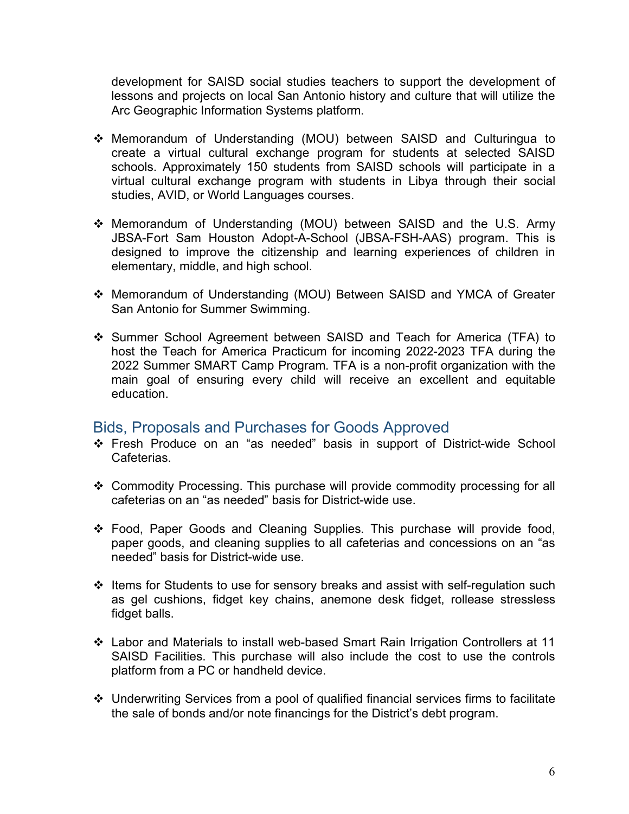development for SAISD social studies teachers to support the development of lessons and projects on local San Antonio history and culture that will utilize the Arc Geographic Information Systems platform.

- v Memorandum of Understanding (MOU) between SAISD and Culturingua to create a virtual cultural exchange program for students at selected SAISD schools. Approximately 150 students from SAISD schools will participate in a virtual cultural exchange program with students in Libya through their social studies, AVID, or World Languages courses.
- \* Memorandum of Understanding (MOU) between SAISD and the U.S. Army JBSA-Fort Sam Houston Adopt-A-School (JBSA-FSH-AAS) program. This is designed to improve the citizenship and learning experiences of children in elementary, middle, and high school.
- v Memorandum of Understanding (MOU) Between SAISD and YMCA of Greater San Antonio for Summer Swimming.
- v Summer School Agreement between SAISD and Teach for America (TFA) to host the Teach for America Practicum for incoming 2022-2023 TFA during the 2022 Summer SMART Camp Program. TFA is a non-profit organization with the main goal of ensuring every child will receive an excellent and equitable education.

### Bids, Proposals and Purchases for Goods Approved

- \* Fresh Produce on an "as needed" basis in support of District-wide School Cafeterias.
- v Commodity Processing. This purchase will provide commodity processing for all cafeterias on an "as needed" basis for District-wide use.
- \* Food, Paper Goods and Cleaning Supplies. This purchase will provide food, paper goods, and cleaning supplies to all cafeterias and concessions on an "as needed" basis for District-wide use.
- v Items for Students to use for sensory breaks and assist with self-regulation such as gel cushions, fidget key chains, anemone desk fidget, rollease stressless fidget balls.
- v Labor and Materials to install web-based Smart Rain Irrigation Controllers at 11 SAISD Facilities. This purchase will also include the cost to use the controls platform from a PC or handheld device.
- v Underwriting Services from a pool of qualified financial services firms to facilitate the sale of bonds and/or note financings for the District's debt program.